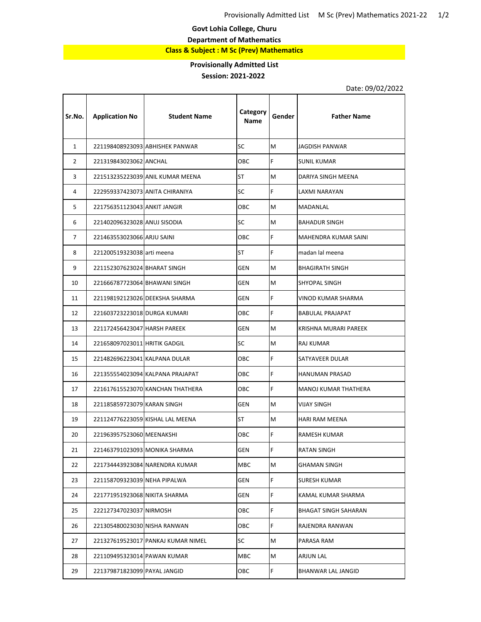**Govt Lohia College, Churu**

**Department of Mathematics**

**Class & Subject : M Sc (Prev) Mathematics**

## **Provisionally Admitted List**

## **Session: 2021-2022**

Т

Date: 09/02/2022

| Sr.No.       | <b>Application No</b>           | <b>Student Name</b>                | Category<br><b>Name</b> | Gender | <b>Father Name</b>      |
|--------------|---------------------------------|------------------------------------|-------------------------|--------|-------------------------|
| $\mathbf{1}$ |                                 | 221198408923093 ABHISHEK PANWAR    | SC                      | M      | JAGDISH PANWAR          |
| 2            | 221319843023062 ANCHAL          |                                    | <b>OBC</b>              | F.     | <b>SUNIL KUMAR</b>      |
| 3            |                                 | 221513235223039 ANIL KUMAR MEENA   | <b>ST</b>               | M      | DARIYA SINGH MEENA      |
| 4            | 222959337423073 ANITA CHIRANIYA |                                    | SC                      | F      | LAXMI NARAYAN           |
| 5            | 221756351123043 ANKIT JANGIR    |                                    | <b>OBC</b>              | M      | MADANLAL                |
| 6            | 221402096323028 ANUJ SISODIA    |                                    | SC                      | M      | <b>BAHADUR SINGH</b>    |
| 7            | 221463553023066 ARJU SAINI      |                                    | <b>OBC</b>              | F      | MAHENDRA KUMAR SAINI    |
| 8            | 221200519323038 arti meena      |                                    | ST                      | F      | madan lal meena         |
| 9            | 221152307623024 BHARAT SINGH    |                                    | <b>GEN</b>              | M      | <b>BHAGIRATH SINGH</b>  |
| 10           | 221666787723064 BHAWANI SINGH   |                                    | GEN                     | M      | SHYOPAL SINGH           |
| 11           |                                 | 221198192123026 DEEKSHA SHARMA     | <b>GEN</b>              | F.     | VINOD KUMAR SHARMA      |
| 12           | 221603723223018 DURGA KUMARI    |                                    | <b>OBC</b>              | F      | <b>BABULAL PRAJAPAT</b> |
| 13           | 221172456423047 HARSH PAREEK    |                                    | <b>GEN</b>              | M      | KRISHNA MURARI PAREEK   |
| 14           | 221658097023011 HRITIK GADGIL   |                                    | SC                      | M      | RAJ KUMAR               |
| 15           | 221482696223041 KALPANA DULAR   |                                    | ОВС                     | F.     | SATYAVEER DULAR         |
| 16           |                                 | 221355554023094 KALPANA PRAJAPAT   | <b>OBC</b>              | F      | HANUMAN PRASAD          |
| 17           |                                 | 221617615523070 KANCHAN THATHERA   | OBC.                    | F      | MANOJ KUMAR THATHERA    |
| 18           | 221185859723079 KARAN SINGH     |                                    | <b>GEN</b>              | M      | VIJAY SINGH             |
| 19           |                                 | 221124776223059 KISHAL LAL MEENA   | ST                      | M      | HARI RAM MEENA          |
| 20           | 221963957523060 MEENAKSHI       |                                    | <b>OBC</b>              | F      | RAMESH KUMAR            |
| 21           | 221463791023093 MONIKA SHARMA   |                                    | GEN                     | F      | <b>RATAN SINGH</b>      |
| 22           |                                 | 221734443923084 NARENDRA KUMAR     | <b>MBC</b>              | M      | GHAMAN SINGH            |
| 23           | 221158709323039 NEHA PIPALWA    |                                    | GEN                     | F      | SURESH KUMAR            |
| 24           | 221771951923068 NIKITA SHARMA   |                                    | GEN                     | F.     | KAMAL KUMAR SHARMA      |
| 25           | 222127347023037 NIRMOSH         |                                    | OBC                     | F      | BHAGAT SINGH SAHARAN    |
| 26           | 221305480023030 NISHA RANWAN    |                                    | ОВС                     | F      | RAJENDRA RANWAN         |
| 27           |                                 | 221327619523017 PANKAJ KUMAR NIMEL | SC                      | M      | PARASA RAM              |
| 28           | 221109495323014 PAWAN KUMAR     |                                    | MBC                     | M      | ARJUN LAL               |
| 29           | 221379871823099 PAYAL JANGID    |                                    | OBC                     | F.     | BHANWAR LAL JANGID      |